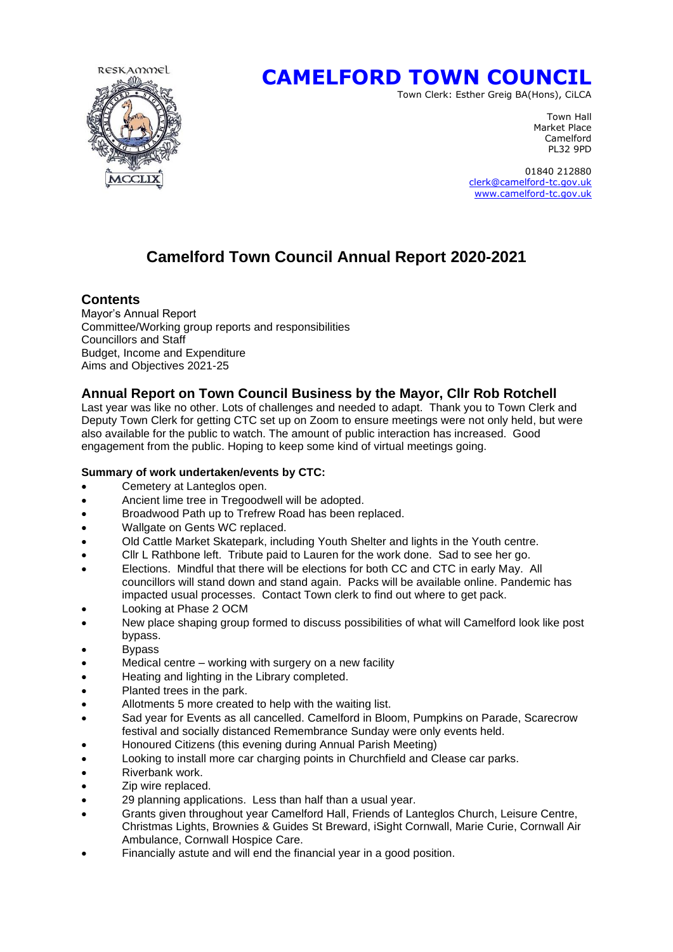

# **CAMELFORD TOWN COUNCIL**

Town Clerk: Esther Greig BA(Hons), CiLCA

Town Hall Market Place Camelford PL32 9PD

 01840 212880 [clerk@camelford-tc.gov.uk](mailto:clerk@camelford-tc.gov.uk) [www.camelford-tc.gov.uk](http://www.camelfordtown.net/)

## **Camelford Town Council Annual Report 2020-2021**

#### **Contents**

Mayor's Annual Report Committee/Working group reports and responsibilities Councillors and Staff Budget, Income and Expenditure Aims and Objectives 2021-25

### **Annual Report on Town Council Business by the Mayor, Cllr Rob Rotchell**

Last year was like no other. Lots of challenges and needed to adapt. Thank you to Town Clerk and Deputy Town Clerk for getting CTC set up on Zoom to ensure meetings were not only held, but were also available for the public to watch. The amount of public interaction has increased. Good engagement from the public. Hoping to keep some kind of virtual meetings going.

#### **Summary of work undertaken/events by CTC:**

- Cemetery at Lanteglos open.
- Ancient lime tree in Tregoodwell will be adopted.
- Broadwood Path up to Trefrew Road has been replaced.
- Wallgate on Gents WC replaced.
- Old Cattle Market Skatepark, including Youth Shelter and lights in the Youth centre.
- Cllr L Rathbone left. Tribute paid to Lauren for the work done. Sad to see her go.
- Elections. Mindful that there will be elections for both CC and CTC in early May. All councillors will stand down and stand again. Packs will be available online. Pandemic has impacted usual processes. Contact Town clerk to find out where to get pack.
- Looking at Phase 2 OCM
- New place shaping group formed to discuss possibilities of what will Camelford look like post bypass.
- **Bypass**
- Medical centre working with surgery on a new facility
- Heating and lighting in the Library completed.
- Planted trees in the park.
- Allotments 5 more created to help with the waiting list.
- Sad year for Events as all cancelled. Camelford in Bloom, Pumpkins on Parade, Scarecrow festival and socially distanced Remembrance Sunday were only events held.
- Honoured Citizens (this evening during Annual Parish Meeting)
- Looking to install more car charging points in Churchfield and Clease car parks.
- Riverbank work.
- Zip wire replaced.
- 29 planning applications. Less than half than a usual year.
- Grants given throughout year Camelford Hall, Friends of Lanteglos Church, Leisure Centre, Christmas Lights, Brownies & Guides St Breward, iSight Cornwall, Marie Curie, Cornwall Air Ambulance, Cornwall Hospice Care.
- Financially astute and will end the financial year in a good position.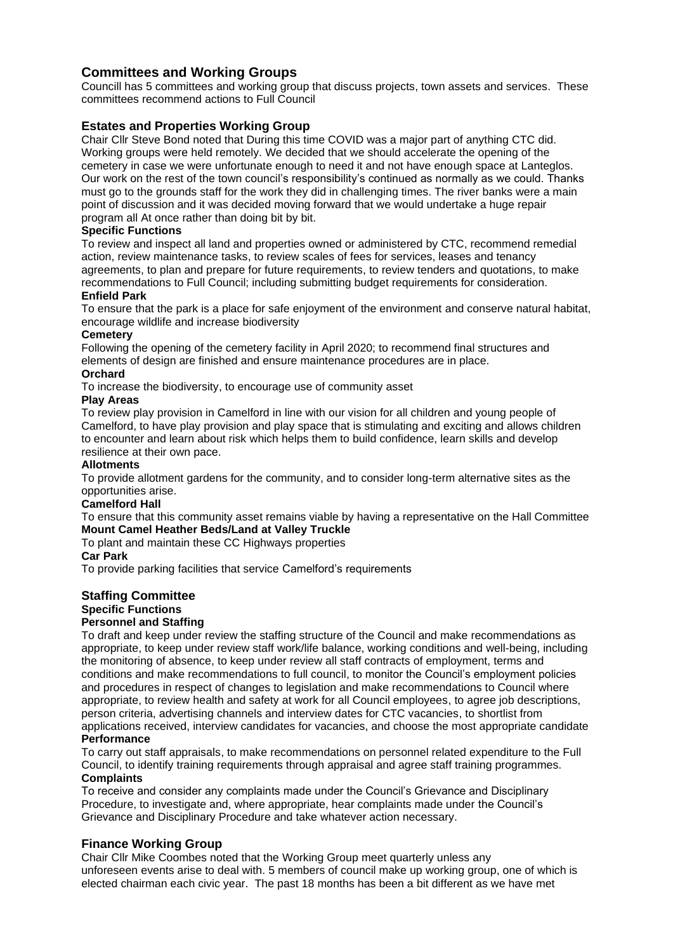### **Committees and Working Groups**

Councill has 5 committees and working group that discuss projects, town assets and services. These committees recommend actions to Full Council

#### **Estates and Properties Working Group**

Chair Cllr Steve Bond noted that During this time COVID was a major part of anything CTC did. Working groups were held remotely. We decided that we should accelerate the opening of the cemetery in case we were unfortunate enough to need it and not have enough space at Lanteglos. Our work on the rest of the town council's responsibility's continued as normally as we could. Thanks must go to the grounds staff for the work they did in challenging times. The river banks were a main point of discussion and it was decided moving forward that we would undertake a huge repair program all At once rather than doing bit by bit.

#### **Specific Functions**

To review and inspect all land and properties owned or administered by CTC, recommend remedial action, review maintenance tasks, to review scales of fees for services, leases and tenancy agreements, to plan and prepare for future requirements, to review tenders and quotations, to make recommendations to Full Council; including submitting budget requirements for consideration.

#### **Enfield Park**

To ensure that the park is a place for safe enjoyment of the environment and conserve natural habitat, encourage wildlife and increase biodiversity

#### **Cemetery**

Following the opening of the cemetery facility in April 2020; to recommend final structures and elements of design are finished and ensure maintenance procedures are in place.

#### **Orchard**

To increase the biodiversity, to encourage use of community asset

#### **Play Areas**

To review play provision in Camelford in line with our vision for all children and young people of Camelford, to have play provision and play space that is stimulating and exciting and allows children to encounter and learn about risk which helps them to build confidence, learn skills and develop resilience at their own pace.

#### **Allotments**

To provide allotment gardens for the community, and to consider long-term alternative sites as the opportunities arise.

#### **Camelford Hall**

To ensure that this community asset remains viable by having a representative on the Hall Committee **Mount Camel Heather Beds/Land at Valley Truckle** 

#### To plant and maintain these CC Highways properties

#### **Car Park**

To provide parking facilities that service Camelford's requirements

### **Staffing Committee**

#### **Specific Functions**

#### **Personnel and Staffing**

To draft and keep under review the staffing structure of the Council and make recommendations as appropriate, to keep under review staff work/life balance, working conditions and well-being, including the monitoring of absence, to keep under review all staff contracts of employment, terms and conditions and make recommendations to full council, to monitor the Council's employment policies and procedures in respect of changes to legislation and make recommendations to Council where appropriate, to review health and safety at work for all Council employees, to agree job descriptions, person criteria, advertising channels and interview dates for CTC vacancies, to shortlist from applications received, interview candidates for vacancies, and choose the most appropriate candidate **Performance**

To carry out staff appraisals, to make recommendations on personnel related expenditure to the Full Council, to identify training requirements through appraisal and agree staff training programmes. **Complaints**

#### To receive and consider any complaints made under the Council's Grievance and Disciplinary Procedure, to investigate and, where appropriate, hear complaints made under the Council's Grievance and Disciplinary Procedure and take whatever action necessary.

#### **Finance Working Group**

Chair Cllr Mike Coombes noted that the Working Group meet quarterly unless any unforeseen events arise to deal with. 5 members of council make up working group, one of which is elected chairman each civic year. The past 18 months has been a bit different as we have met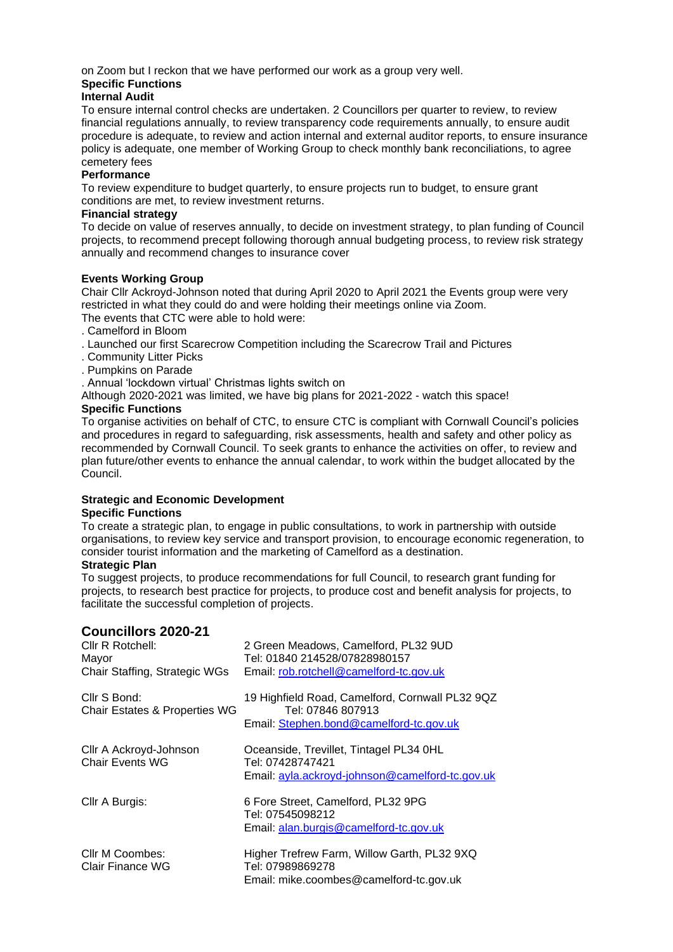on Zoom but I reckon that we have performed our work as a group very well.

#### **Specific Functions**

#### **Internal Audit**

To ensure internal control checks are undertaken. 2 Councillors per quarter to review, to review financial regulations annually, to review transparency code requirements annually, to ensure audit procedure is adequate, to review and action internal and external auditor reports, to ensure insurance policy is adequate, one member of Working Group to check monthly bank reconciliations, to agree cemetery fees

#### **Performance**

To review expenditure to budget quarterly, to ensure projects run to budget, to ensure grant conditions are met, to review investment returns.

#### **Financial strategy**

To decide on value of reserves annually, to decide on investment strategy, to plan funding of Council projects, to recommend precept following thorough annual budgeting process, to review risk strategy annually and recommend changes to insurance cover

#### **Events Working Group**

Chair Cllr Ackroyd-Johnson noted that during April 2020 to April 2021 the Events group were very restricted in what they could do and were holding their meetings online via Zoom.

- The events that CTC were able to hold were:
- . Camelford in Bloom
- . Launched our first Scarecrow Competition including the Scarecrow Trail and Pictures
- . Community Litter Picks
- . Pumpkins on Parade
- . Annual 'lockdown virtual' Christmas lights switch on
- Although 2020-2021 was limited, we have big plans for 2021-2022 watch this space!

#### **Specific Functions**

To organise activities on behalf of CTC, to ensure CTC is compliant with Cornwall Council's policies and procedures in regard to safeguarding, risk assessments, health and safety and other policy as recommended by Cornwall Council. To seek grants to enhance the activities on offer, to review and plan future/other events to enhance the annual calendar, to work within the budget allocated by the Council.

#### **Strategic and Economic Development Specific Functions**

To create a strategic plan, to engage in public consultations, to work in partnership with outside organisations, to review key service and transport provision, to encourage economic regeneration, to consider tourist information and the marketing of Camelford as a destination.

#### **Strategic Plan**

To suggest projects, to produce recommendations for full Council, to research grant funding for projects, to research best practice for projects, to produce cost and benefit analysis for projects, to facilitate the successful completion of projects.

### **Councillors 2020-21**

| Cllr R Rotchell:<br>Mayor<br>Chair Staffing, Strategic WGs | 2 Green Meadows, Camelford, PL32 9UD<br>Tel: 01840 214528/07828980157<br>Email: rob.rotchell@camelford-tc.gov.uk |
|------------------------------------------------------------|------------------------------------------------------------------------------------------------------------------|
| Cllr S Bond:<br>Chair Estates & Properties WG              | 19 Highfield Road, Camelford, Cornwall PL32 9QZ<br>Tel: 07846 807913<br>Email: Stephen.bond@camelford-tc.gov.uk  |
| Cllr A Ackroyd-Johnson<br><b>Chair Events WG</b>           | Oceanside, Trevillet, Tintagel PL34 0HL<br>Tel: 07428747421<br>Email: ayla.ackroyd-johnson@camelford-tc.gov.uk   |
| Cllr A Burgis:                                             | 6 Fore Street, Camelford, PL32 9PG<br>Tel: 07545098212<br>Email: alan.burgis@camelford-tc.gov.uk                 |
| Cllr M Coombes:<br>Clair Finance WG                        | Higher Trefrew Farm, Willow Garth, PL32 9XQ<br>Tel: 07989869278<br>Email: mike.coombes@camelford-tc.gov.uk       |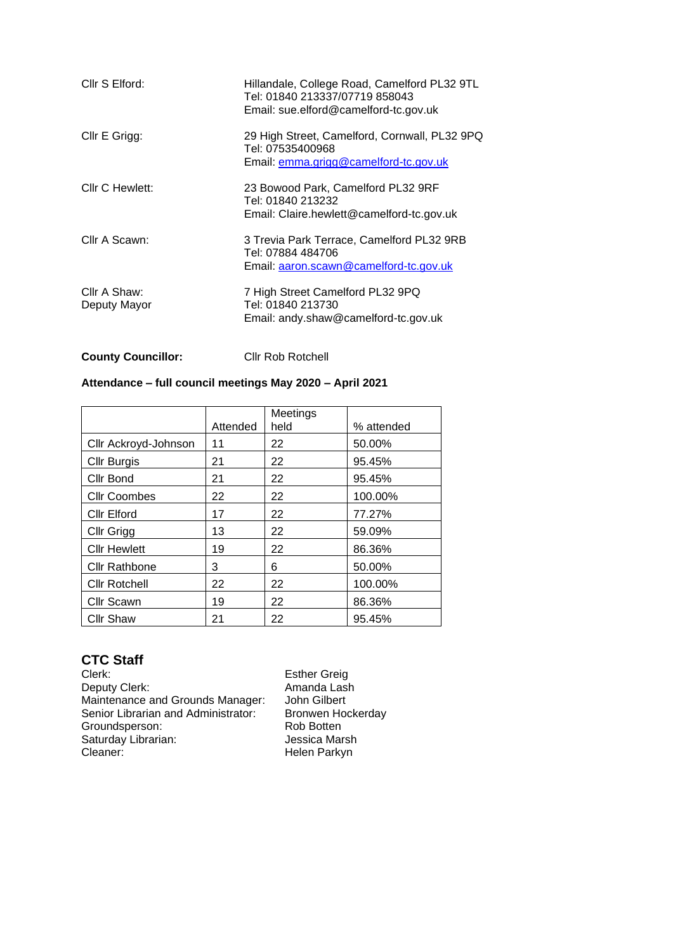| Cllr S Elford:               | Hillandale, College Road, Camelford PL32 9TL<br>Tel: 01840 213337/07719 858043<br>Email: sue.elford@camelford-tc.gov.uk |
|------------------------------|-------------------------------------------------------------------------------------------------------------------------|
| Cllr E Grigg:                | 29 High Street, Camelford, Cornwall, PL32 9PQ<br>Tel: 07535400968<br>Email: emma.grigg@camelford-tc.gov.uk              |
| Cllr C Hewlett:              | 23 Bowood Park, Camelford PL32 9RF<br>Tel: 01840 213232<br>Email: Claire.hewlett@camelford-tc.gov.uk                    |
| Cllr A Scawn:                | 3 Trevia Park Terrace, Camelford PL32 9RB<br>Tel: 07884 484706<br>Email: aaron.scawn@camelford-tc.gov.uk                |
| Cllr A Shaw:<br>Deputy Mayor | 7 High Street Camelford PL32 9PQ<br>Tel: 01840 213730<br>Email: andy.shaw@camelford-tc.gov.uk                           |

**County Councillor:** Cllr Rob Rotchell

#### **Attendance – full council meetings May 2020 – April 2021**

|                      | Attended | Meetings<br>held | % attended |
|----------------------|----------|------------------|------------|
| Cllr Ackroyd-Johnson | 11       | 22               | 50.00%     |
| <b>Cllr Burgis</b>   | 21       | 22               | 95.45%     |
| Cllr Bond            | 21       | 22               | 95.45%     |
| <b>Cllr Coombes</b>  | 22       | 22               | 100.00%    |
| <b>Cllr Elford</b>   | 17       | 22               | 77.27%     |
| Cllr Grigg           | 13       | 22               | 59.09%     |
| <b>Cllr Hewlett</b>  | 19       | 22               | 86.36%     |
| <b>Cllr Rathbone</b> | 3        | 6                | 50.00%     |
| <b>Cllr Rotchell</b> | 22       | 22               | 100.00%    |
| <b>Cllr Scawn</b>    | 19       | 22               | 86.36%     |
| <b>Cllr Shaw</b>     | 21       | 22               | 95.45%     |

# **CTC Staff**

Deputy Clerk: and a Lash Amanda Lash Maintenance and Grounds Manager: John Gilbert Senior Librarian and Administrator: Bronwen Hockerday Groundsperson: Rob Botten<br>
Saturday Librarian: Saturday Librarian: Jessica Marsh Saturday Librarian:<br>Cleaner:

Esther Greig<br>Amanda Lash Helen Parkyn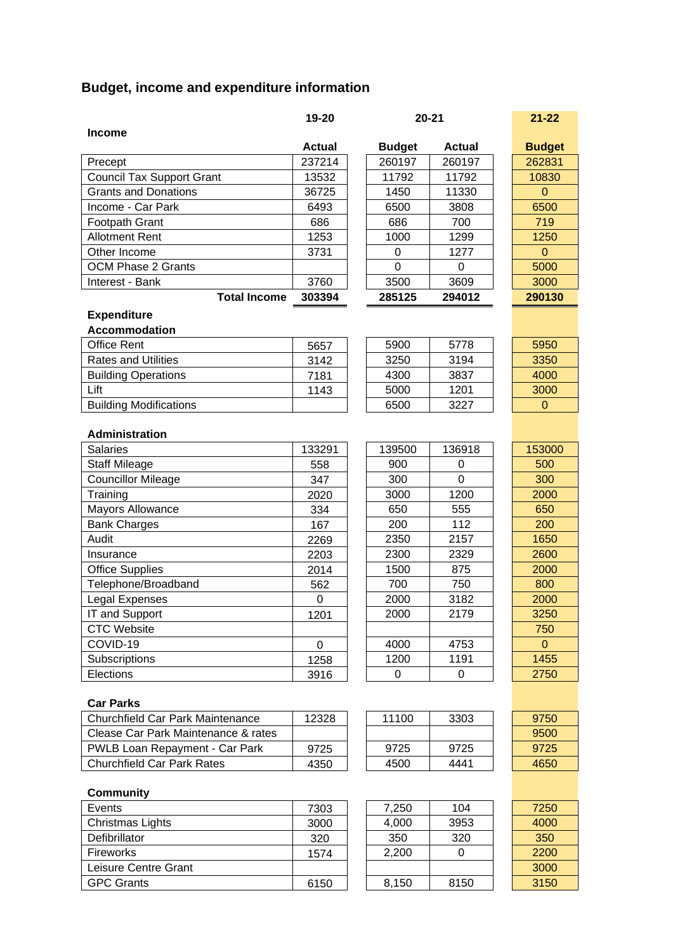# **Budget, income and expenditure information**

|                                     | 19-20         |               | $20 - 21$     | $21 - 22$     |
|-------------------------------------|---------------|---------------|---------------|---------------|
| <b>Income</b>                       |               |               |               |               |
|                                     | <b>Actual</b> | <b>Budget</b> | <b>Actual</b> | <b>Budget</b> |
| Precept                             | 237214        | 260197        | 260197        | 262831        |
| <b>Council Tax Support Grant</b>    | 13532         | 11792         | 11792         | 10830         |
| <b>Grants and Donations</b>         | 36725         | 1450          | 11330         | $\mathbf{0}$  |
| Income - Car Park                   | 6493          | 6500          | 3808          | 6500          |
| Footpath Grant                      | 686           | 686           | 700           | 719           |
| <b>Allotment Rent</b>               | 1253          | 1000          | 1299          | 1250          |
| Other Income                        | 3731          | 0             | 1277          | $\mathbf{0}$  |
| <b>OCM Phase 2 Grants</b>           |               | 0             | 0             | 5000          |
| Interest - Bank                     | 3760          | 3500          | 3609          | 3000          |
| <b>Total Income</b>                 | 303394        | 285125        | 294012        | 290130        |
| <b>Expenditure</b>                  |               |               |               |               |
| <b>Accommodation</b>                |               |               |               |               |
| <b>Office Rent</b>                  | 5657          | 5900          | 5778          | 5950          |
| <b>Rates and Utilities</b>          | 3142          | 3250          | 3194          | 3350          |
| <b>Building Operations</b>          | 7181          | 4300          | 3837          | 4000          |
| Lift                                | 1143          | 5000          | 1201          | 3000          |
| <b>Building Modifications</b>       |               | 6500          | 3227          | $\mathbf 0$   |
|                                     |               |               |               |               |
| Administration                      |               |               |               |               |
| <b>Salaries</b>                     | 133291        | 139500        | 136918        | 153000        |
| <b>Staff Mileage</b>                | 558           | 900           | 0             | 500           |
| <b>Councillor Mileage</b>           | 347           | 300           | 0             | 300           |
| Training                            | 2020          | 3000          | 1200          | 2000          |
| <b>Mayors Allowance</b>             | 334           | 650           | 555           | 650           |
| <b>Bank Charges</b>                 | 167           | 200           | 112           | 200           |
| Audit                               | 2269          | 2350          | 2157          | 1650          |
| Insurance                           | 2203          | 2300          | 2329          | 2600          |
| <b>Office Supplies</b>              | 2014          | 1500          | 875           | 2000          |
| Telephone/Broadband                 | 562           | 700           | 750           | 800           |
| Legal Expenses                      | 0             | 2000          | 3182          | 2000          |
| IT and Support                      | 1201          | 2000          | 2179          | 3250          |
| <b>CTC Website</b>                  |               |               |               | 750           |
| COVID-19                            | $\mathbf 0$   | 4000          | 4753          | $\mathbf{0}$  |
| Subscriptions                       | 1258          | 1200          | 1191          | 1455          |
| Elections                           | 3916          | 0             | 0             | 2750          |
|                                     |               |               |               |               |
| <b>Car Parks</b>                    |               |               |               |               |
| Churchfield Car Park Maintenance    | 12328         | 11100         | 3303          | 9750          |
| Clease Car Park Maintenance & rates |               |               |               | 9500          |
| PWLB Loan Repayment - Car Park      | 9725          | 9725          | 9725          | 9725          |
| <b>Churchfield Car Park Rates</b>   | 4350          | 4500          | 4441          | 4650          |
|                                     |               |               |               |               |
| <b>Community</b>                    |               |               |               |               |
| Events                              | 7303          | 7,250         | 104           | 7250          |
| <b>Christmas Lights</b>             | 3000          | 4,000         | 3953          | 4000          |
| Defibrillator                       | 320           | 350           | 320           | 350           |
| Fireworks                           | 1574          | 2,200         | 0             | 2200          |
| Leisure Centre Grant                |               |               |               | 3000          |
| <b>GPC Grants</b>                   | 6150          | 8,150         | 8150          | 3150          |